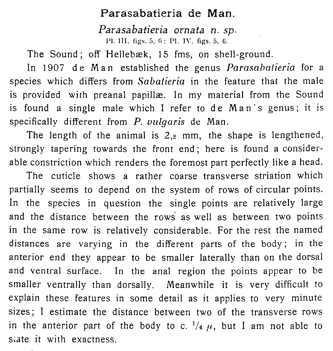## Parasabatieria de Man.

Parasabatieria ornata n. sp.

Pl. III. figs. 5, 6: Pl. I\'. figs. 5, 6.

The Sound; off Hellebæk, 15 fms, on shell-ground.

In 1907 de Man established the genus Parasabatieria for a species which differs from Sabatieria in the feature that the male is provided with preanal papillæ. In my material from the Sound is found a single male which I refer to de Man's genus; it is specifically different from  $P$ . vulgaris de Man.

The length of the animal is  $2<sub>,2</sub>$  mm, the shape is lengthened, strongly tapering towards the front end ; here is found a considerable constriction which renders the foremost part perfectly like a head.

The cuticle shows a rather coarse transverse striation which partially seems to depend on the system of rows of circular points. In the species in question the single points are relatively large and the distance between the rows as well as between two points in the same row is relatively considerable. For the rest the named distances are varying in the different parts of the body; in the anterior end they appear to be smaller laterally than on the dorsal and ventral surface. In the anal region the points appear to be smaller ventrally than dorsally. Meanwhile it is very difficult to explain these features in some detail as it applies to very minute sizes; I estimate the distance between two of the transverse rows in the anterior part of the body to c.  $\frac{1}{4} \mu$ , but I am not able to state it with exactness.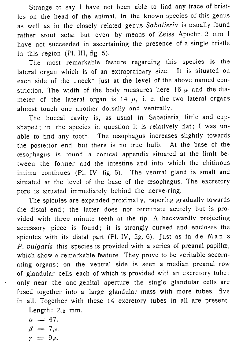Strange to say I have not been able to find any trace of bristles on the head of the animal. In the known species of this genus as well as in the closely related genus Sabatieria is usually found rather stout setæ but even by means of Zeiss Apochr. 2 mm I have not succeeded in ascertaining the presence of a single bristle in this region (Pl. III, fig. 5).

The most remarkable feature regarding this species is the lateral organ which is of an extraordinary size. It is situated on each side of the "neck" just at the level of the above named constriction. The width of the body measures here 16  $\mu$  and the diameter of the lateral organ is  $14 \mu$ , i. e. the two lateral organs almost touch one another dorsally and ventrally.

The buccal cavity is, as usual in Sabatieria, little and cupshaped; in the species in question it is relatively flat; I was unable to find any tooth. The œsophagus increases slightly towards the posterior end, but there is no true bulb. At the base of the oesophagus is found a conical appendix situated at the limit between the former and the intestine and into which the chitinous intima continues (Pl. IV, fig. 5). The ventral gland is small and situated at the level of the base of the œsophagus. The excretory pore is situated immediately behind the nerve-ring.

The spicules are expanded proximally, tapering gradually towards the distal end; the latter does not terminate acutely but is provided with three minute teeth at the tip. A backwardly projecting accessory piece is found; it is strongly curved and encloses the spicules with its distal part (Pl. IV, fig. 6). Just as in de Man's P.  $vulgaris$  this species is provided with a series of preanal papillæ, which show a remarkable feature. They prove to be veritable secernating organs; on the ventral side is seen a median preanal row of glandular cells each of which is provided with an excretory tube; only near the ano-genital aperture the single glandular cells are fused 'together into a large glandular mass with more tubes, five in all. Together with these 14 excretory tubes in all are present.

Length:  $2_{.2}$  mm.

$$
\begin{array}{l}\n\alpha = 47. \\
\beta = 7,\!\!\!s. \\
\gamma = 9,\!\!\!s.\n\end{array}
$$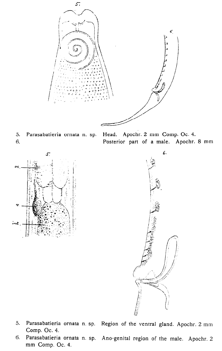

5. Parasabatieria ornata n. sp. Head. Apochr. 2 mm Comp. Oc. 4. 6. Posterior part of a male. Apochr. 8 mm





- 5. Parasabatieria ornata n. sp. Region of the ventral gland. Apochr. 2 mm Comp. Oc. 4.
- 6. Parasabatieria ornata n. sp. Ano-genital region of the male. Apochr. 2 mm Comp. Oc. 4.